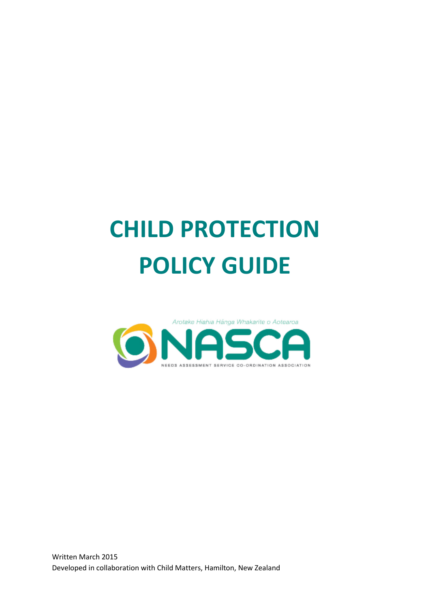# **CHILD PROTECTION POLICY GUIDE**

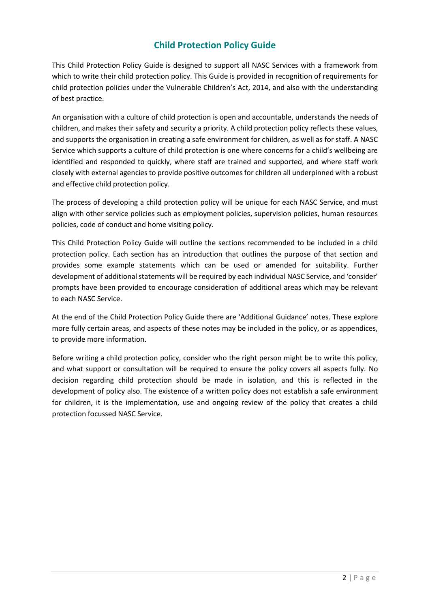# **Child Protection Policy Guide**

This Child Protection Policy Guide is designed to support all NASC Services with a framework from which to write their child protection policy. This Guide is provided in recognition of requirements for child protection policies under the Vulnerable Children's Act, 2014, and also with the understanding of best practice.

An organisation with a culture of child protection is open and accountable, understands the needs of children, and makes their safety and security a priority. A child protection policy reflects these values, and supports the organisation in creating a safe environment for children, as well as for staff. A NASC Service which supports a culture of child protection is one where concerns for a child's wellbeing are identified and responded to quickly, where staff are trained and supported, and where staff work closely with external agencies to provide positive outcomes for children all underpinned with a robust and effective child protection policy.

The process of developing a child protection policy will be unique for each NASC Service, and must align with other service policies such as employment policies, supervision policies, human resources policies, code of conduct and home visiting policy.

This Child Protection Policy Guide will outline the sections recommended to be included in a child protection policy. Each section has an introduction that outlines the purpose of that section and provides some example statements which can be used or amended for suitability. Further development of additional statements will be required by each individual NASC Service, and 'consider' prompts have been provided to encourage consideration of additional areas which may be relevant to each NASC Service.

At the end of the Child Protection Policy Guide there are 'Additional Guidance' notes. These explore more fully certain areas, and aspects of these notes may be included in the policy, or as appendices, to provide more information.

Before writing a child protection policy, consider who the right person might be to write this policy, and what support or consultation will be required to ensure the policy covers all aspects fully. No decision regarding child protection should be made in isolation, and this is reflected in the development of policy also. The existence of a written policy does not establish a safe environment for children, it is the implementation, use and ongoing review of the policy that creates a child protection focussed NASC Service.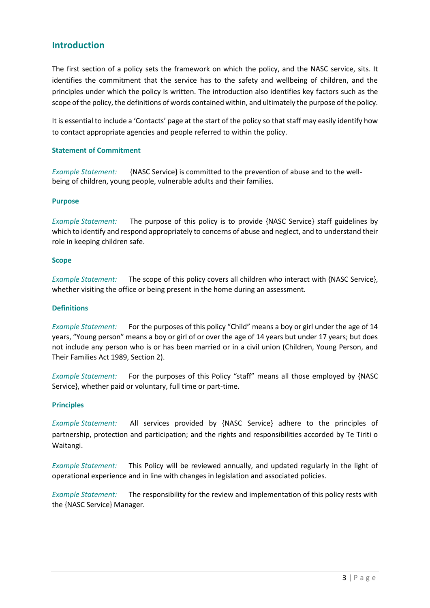## **Introduction**

The first section of a policy sets the framework on which the policy, and the NASC service, sits. It identifies the commitment that the service has to the safety and wellbeing of children, and the principles under which the policy is written. The introduction also identifies key factors such as the scope of the policy, the definitions of words contained within, and ultimately the purpose of the policy.

It is essential to include a 'Contacts' page at the start of the policy so that staff may easily identify how to contact appropriate agencies and people referred to within the policy.

#### **Statement of Commitment**

*Example Statement:* {NASC Service} is committed to the prevention of abuse and to the wellbeing of children, young people, vulnerable adults and their families.

#### **Purpose**

*Example Statement:* The purpose of this policy is to provide {NASC Service} staff guidelines by which to identify and respond appropriately to concerns of abuse and neglect, and to understand their role in keeping children safe.

#### **Scope**

*Example Statement:* The scope of this policy covers all children who interact with {NASC Service}, whether visiting the office or being present in the home during an assessment.

#### **Definitions**

*Example Statement:* For the purposes of this policy "Child" means a boy or girl under the age of 14 years, "Young person" means a boy or girl of or over the age of 14 years but under 17 years; but does not include any person who is or has been married or in a civil union (Children, Young Person, and Their Families Act 1989, Section 2).

*Example Statement:* For the purposes of this Policy "staff" means all those employed by {NASC Service}, whether paid or voluntary, full time or part-time.

#### **Principles**

*Example Statement:* All services provided by {NASC Service} adhere to the principles of partnership, protection and participation; and the rights and responsibilities accorded by Te Tiriti o Waitangi.

*Example Statement:* This Policy will be reviewed annually, and updated regularly in the light of operational experience and in line with changes in legislation and associated policies.

*Example Statement:* The responsibility for the review and implementation of this policy rests with the {NASC Service} Manager.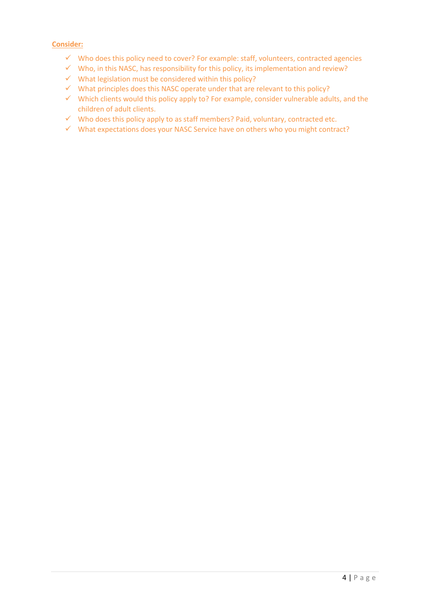- $\checkmark$  Who does this policy need to cover? For example: staff, volunteers, contracted agencies
- $\checkmark$  Who, in this NASC, has responsibility for this policy, its implementation and review?
- $\checkmark$  What legislation must be considered within this policy?
- $\checkmark$  What principles does this NASC operate under that are relevant to this policy?
- $\checkmark$  Which clients would this policy apply to? For example, consider vulnerable adults, and the children of adult clients.
- $\checkmark$  Who does this policy apply to as staff members? Paid, voluntary, contracted etc.
- $\checkmark$  What expectations does your NASC Service have on others who you might contract?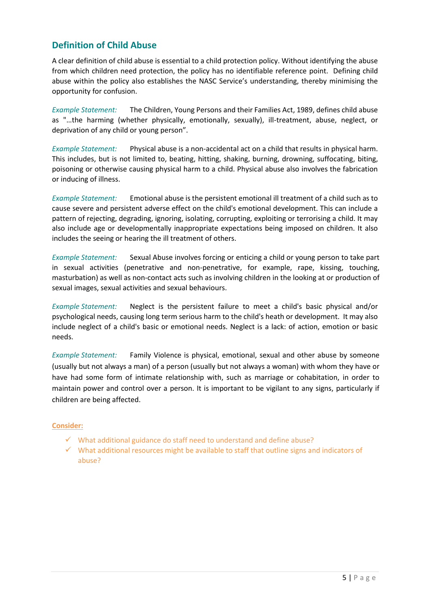## **Definition of Child Abuse**

A clear definition of child abuse is essential to a child protection policy. Without identifying the abuse from which children need protection, the policy has no identifiable reference point. Defining child abuse within the policy also establishes the NASC Service's understanding, thereby minimising the opportunity for confusion.

*Example Statement:* The Children, Young Persons and their Families Act, 1989, defines child abuse as "…the harming (whether physically, emotionally, sexually), ill-treatment, abuse, neglect, or deprivation of any child or young person".

*Example Statement:* Physical abuse is a non-accidental act on a child that results in physical harm. This includes, but is not limited to, beating, hitting, shaking, burning, drowning, suffocating, biting, poisoning or otherwise causing physical harm to a child. Physical abuse also involves the fabrication or inducing of illness.

*Example Statement:* Emotional abuse is the persistent emotional ill treatment of a child such as to cause severe and persistent adverse effect on the child's emotional development. This can include a pattern of rejecting, degrading, ignoring, isolating, corrupting, exploiting or terrorising a child. It may also include age or developmentally inappropriate expectations being imposed on children. It also includes the seeing or hearing the ill treatment of others.

*Example Statement:* Sexual Abuse involves forcing or enticing a child or young person to take part in sexual activities (penetrative and non-penetrative, for example, rape, kissing, touching, masturbation) as well as non-contact acts such as involving children in the looking at or production of sexual images, sexual activities and sexual behaviours.

*Example Statement:* Neglect is the persistent failure to meet a child's basic physical and/or psychological needs, causing long term serious harm to the child's heath or development. It may also include neglect of a child's basic or emotional needs. Neglect is a lack: of action, emotion or basic needs.

*Example Statement:* Family Violence is physical, emotional, sexual and other abuse by someone (usually but not always a man) of a person (usually but not always a woman) with whom they have or have had some form of intimate relationship with, such as marriage or cohabitation, in order to maintain power and control over a person. It is important to be vigilant to any signs, particularly if children are being affected.

- $\checkmark$  What additional guidance do staff need to understand and define abuse?
- $\checkmark$  What additional resources might be available to staff that outline signs and indicators of abuse?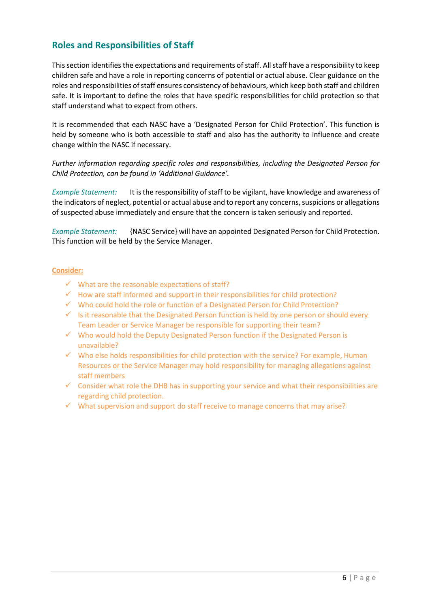# **Roles and Responsibilities of Staff**

This section identifies the expectations and requirements of staff. All staff have a responsibility to keep children safe and have a role in reporting concerns of potential or actual abuse. Clear guidance on the roles and responsibilities of staff ensures consistency of behaviours, which keep both staff and children safe. It is important to define the roles that have specific responsibilities for child protection so that staff understand what to expect from others.

It is recommended that each NASC have a 'Designated Person for Child Protection'. This function is held by someone who is both accessible to staff and also has the authority to influence and create change within the NASC if necessary.

*Further information regarding specific roles and responsibilities, including the Designated Person for Child Protection, can be found in 'Additional Guidance'.*

*Example Statement:* It is the responsibility of staff to be vigilant, have knowledge and awareness of the indicators of neglect, potential or actual abuse and to report any concerns, suspicions or allegations of suspected abuse immediately and ensure that the concern is taken seriously and reported.

*Example Statement:* {NASC Service} will have an appointed Designated Person for Child Protection. This function will be held by the Service Manager.

- $\checkmark$  What are the reasonable expectations of staff?
- $\checkmark$  How are staff informed and support in their responsibilities for child protection?
- $\checkmark$  Who could hold the role or function of a Designated Person for Child Protection?
- $\checkmark$  Is it reasonable that the Designated Person function is held by one person or should every Team Leader or Service Manager be responsible for supporting their team?
- $\checkmark$  Who would hold the Deputy Designated Person function if the Designated Person is unavailable?
- $\checkmark$  Who else holds responsibilities for child protection with the service? For example, Human Resources or the Service Manager may hold responsibility for managing allegations against staff members
- $\checkmark$  Consider what role the DHB has in supporting your service and what their responsibilities are regarding child protection.
- $\checkmark$  What supervision and support do staff receive to manage concerns that may arise?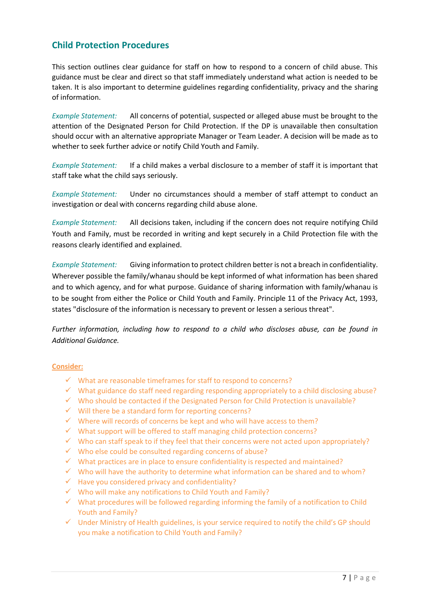## **Child Protection Procedures**

This section outlines clear guidance for staff on how to respond to a concern of child abuse. This guidance must be clear and direct so that staff immediately understand what action is needed to be taken. It is also important to determine guidelines regarding confidentiality, privacy and the sharing of information.

*Example Statement:* All concerns of potential, suspected or alleged abuse must be brought to the attention of the Designated Person for Child Protection. If the DP is unavailable then consultation should occur with an alternative appropriate Manager or Team Leader. A decision will be made as to whether to seek further advice or notify Child Youth and Family.

*Example Statement:* If a child makes a verbal disclosure to a member of staff it is important that staff take what the child says seriously.

*Example Statement:* Under no circumstances should a member of staff attempt to conduct an investigation or deal with concerns regarding child abuse alone.

*Example Statement:* All decisions taken, including if the concern does not require notifying Child Youth and Family, must be recorded in writing and kept securely in a Child Protection file with the reasons clearly identified and explained.

*Example Statement:* Giving information to protect children better is not a breach in confidentiality. Wherever possible the family/whanau should be kept informed of what information has been shared and to which agency, and for what purpose. Guidance of sharing information with family/whanau is to be sought from either the Police or Child Youth and Family. Principle 11 of the Privacy Act, 1993, states "disclosure of the information is necessary to prevent or lessen a serious threat".

*Further information, including how to respond to a child who discloses abuse, can be found in Additional Guidance.*

- $\checkmark$  What are reasonable timeframes for staff to respond to concerns?
- $\checkmark$  What guidance do staff need regarding responding appropriately to a child disclosing abuse?
- $\checkmark$  Who should be contacted if the Designated Person for Child Protection is unavailable?
- $\checkmark$  Will there be a standard form for reporting concerns?
- $\checkmark$  Where will records of concerns be kept and who will have access to them?
- $\checkmark$  What support will be offered to staff managing child protection concerns?
- $\checkmark$  Who can staff speak to if they feel that their concerns were not acted upon appropriately?
- $\checkmark$  Who else could be consulted regarding concerns of abuse?
- $\checkmark$  What practices are in place to ensure confidentiality is respected and maintained?
- $\checkmark$  Who will have the authority to determine what information can be shared and to whom?
- $\checkmark$  Have you considered privacy and confidentiality?
- $\checkmark$  Who will make any notifications to Child Youth and Family?
- $\checkmark$  What procedures will be followed regarding informing the family of a notification to Child Youth and Family?
- $\checkmark$  Under Ministry of Health guidelines, is your service required to notify the child's GP should you make a notification to Child Youth and Family?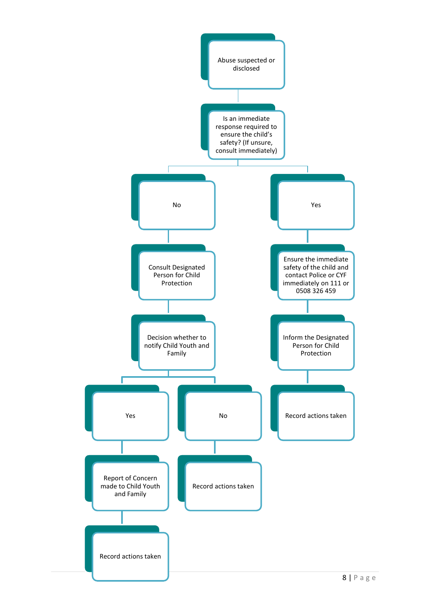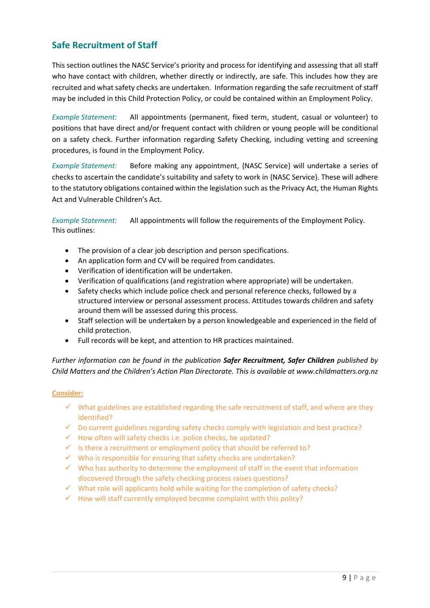# **Safe Recruitment of Staff**

This section outlines the NASC Service's priority and process for identifying and assessing that all staff who have contact with children, whether directly or indirectly, are safe. This includes how they are recruited and what safety checks are undertaken. Information regarding the safe recruitment of staff may be included in this Child Protection Policy, or could be contained within an Employment Policy.

*Example Statement:* All appointments (permanent, fixed term, student, casual or volunteer) to positions that have direct and/or frequent contact with children or young people will be conditional on a safety check. Further information regarding Safety Checking, including vetting and screening procedures, is found in the Employment Policy.

*Example Statement:* Before making any appointment, {NASC Service} will undertake a series of checks to ascertain the candidate's suitability and safety to work in {NASC Service}. These will adhere to the statutory obligations contained within the legislation such as the Privacy Act, the Human Rights Act and Vulnerable Children's Act.

*Example Statement:* All appointments will follow the requirements of the Employment Policy. This outlines:

- The provision of a clear job description and person specifications.
- An application form and CV will be required from candidates.
- Verification of identification will be undertaken.
- Verification of qualifications (and registration where appropriate) will be undertaken.
- Safety checks which include police check and personal reference checks, followed by a structured interview or personal assessment process. Attitudes towards children and safety around them will be assessed during this process.
- Staff selection will be undertaken by a person knowledgeable and experienced in the field of child protection.
- Full records will be kept, and attention to HR practices maintained.

*Further information can be found in the publication Safer Recruitment, Safer Children published by Child Matters and the Children's Action Plan Directorate. This is available at www.childmatters.org.nz*

- $\checkmark$  What guidelines are established regarding the safe recruitment of staff, and where are they identified?
- $\checkmark$  Do current guidelines regarding safety checks comply with legislation and best practice?
- $\checkmark$  How often will safety checks i.e. police checks, be updated?
- $\checkmark$  Is there a recruitment or employment policy that should be referred to?
- $\checkmark$  Who is responsible for ensuring that safety checks are undertaken?
- $\checkmark$  Who has authority to determine the employment of staff in the event that information discovered through the safety checking process raises questions?
- $\checkmark$  What role will applicants hold while waiting for the completion of safety checks?
- $\checkmark$  How will staff currently employed become complaint with this policy?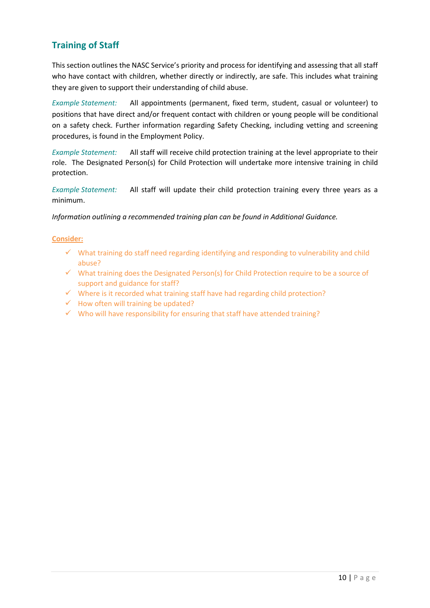# **Training of Staff**

This section outlines the NASC Service's priority and process for identifying and assessing that all staff who have contact with children, whether directly or indirectly, are safe. This includes what training they are given to support their understanding of child abuse.

*Example Statement:* All appointments (permanent, fixed term, student, casual or volunteer) to positions that have direct and/or frequent contact with children or young people will be conditional on a safety check. Further information regarding Safety Checking, including vetting and screening procedures, is found in the Employment Policy.

*Example Statement:* All staff will receive child protection training at the level appropriate to their role. The Designated Person(s) for Child Protection will undertake more intensive training in child protection.

*Example Statement:* All staff will update their child protection training every three years as a minimum.

#### *Information outlining a recommended training plan can be found in Additional Guidance.*

- $\checkmark$  What training do staff need regarding identifying and responding to vulnerability and child abuse?
- $\checkmark$  What training does the Designated Person(s) for Child Protection require to be a source of support and guidance for staff?
- $\checkmark$  Where is it recorded what training staff have had regarding child protection?
- $\checkmark$  How often will training be updated?
- $\checkmark$  Who will have responsibility for ensuring that staff have attended training?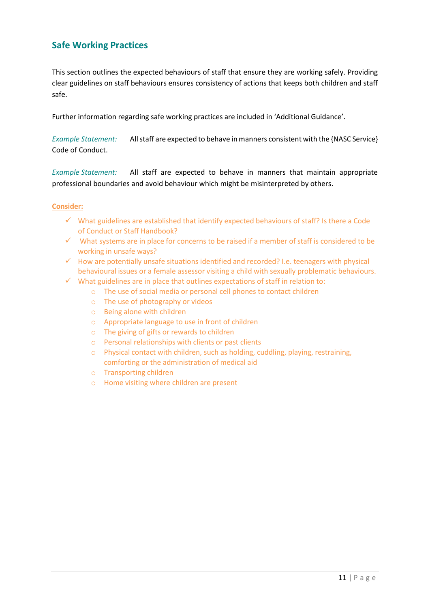# **Safe Working Practices**

This section outlines the expected behaviours of staff that ensure they are working safely. Providing clear guidelines on staff behaviours ensures consistency of actions that keeps both children and staff safe.

Further information regarding safe working practices are included in 'Additional Guidance'.

*Example Statement:* All staff are expected to behave in manners consistent with the {NASC Service} Code of Conduct.

*Example Statement:* All staff are expected to behave in manners that maintain appropriate professional boundaries and avoid behaviour which might be misinterpreted by others.

- $\checkmark$  What guidelines are established that identify expected behaviours of staff? Is there a Code of Conduct or Staff Handbook?
- $\checkmark$  What systems are in place for concerns to be raised if a member of staff is considered to be working in unsafe ways?
- $\checkmark$  How are potentially unsafe situations identified and recorded? I.e. teenagers with physical behavioural issues or a female assessor visiting a child with sexually problematic behaviours.
- $\checkmark$  What guidelines are in place that outlines expectations of staff in relation to:
	- o The use of social media or personal cell phones to contact children
	- o The use of photography or videos
	- o Being alone with children
	- o Appropriate language to use in front of children
	- o The giving of gifts or rewards to children
	- o Personal relationships with clients or past clients
	- o Physical contact with children, such as holding, cuddling, playing, restraining, comforting or the administration of medical aid
	- o Transporting children
	- o Home visiting where children are present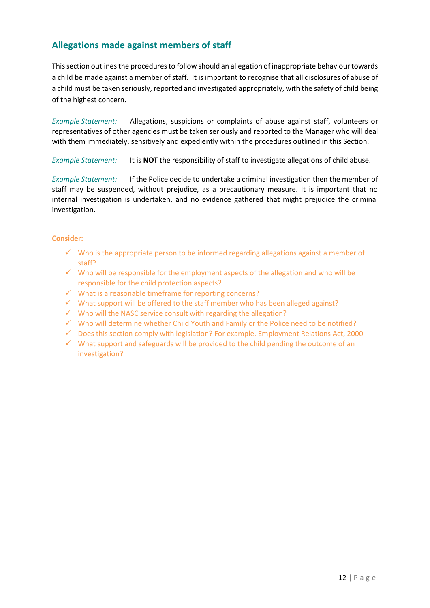# **Allegations made against members of staff**

This section outlines the procedures to follow should an allegation of inappropriate behaviour towards a child be made against a member of staff. It is important to recognise that all disclosures of abuse of a child must be taken seriously, reported and investigated appropriately, with the safety of child being of the highest concern.

*Example Statement:* Allegations, suspicions or complaints of abuse against staff, volunteers or representatives of other agencies must be taken seriously and reported to the Manager who will deal with them immediately, sensitively and expediently within the procedures outlined in this Section.

*Example Statement:* It is **NOT** the responsibility of staff to investigate allegations of child abuse.

*Example Statement:* If the Police decide to undertake a criminal investigation then the member of staff may be suspended, without prejudice, as a precautionary measure. It is important that no internal investigation is undertaken, and no evidence gathered that might prejudice the criminal investigation.

- $\checkmark$  Who is the appropriate person to be informed regarding allegations against a member of staff?
- $\checkmark$  Who will be responsible for the employment aspects of the allegation and who will be responsible for the child protection aspects?
- $\checkmark$  What is a reasonable timeframe for reporting concerns?
- $\checkmark$  What support will be offered to the staff member who has been alleged against?
- $\checkmark$  Who will the NASC service consult with regarding the allegation?
- $\checkmark$  Who will determine whether Child Youth and Family or the Police need to be notified?
- $\checkmark$  Does this section comply with legislation? For example, Employment Relations Act, 2000
- $\checkmark$  What support and safeguards will be provided to the child pending the outcome of an investigation?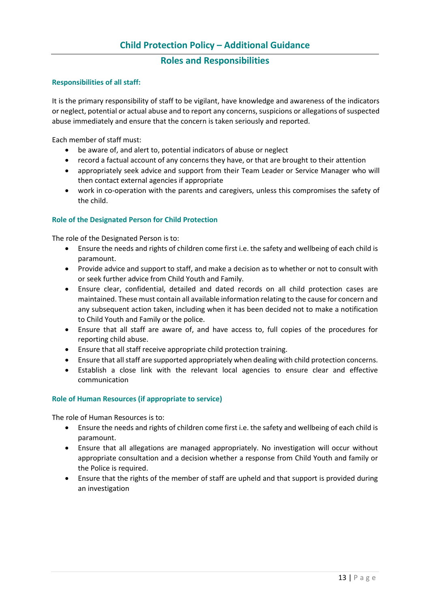## **Roles and Responsibilities**

#### **Responsibilities of all staff:**

It is the primary responsibility of staff to be vigilant, have knowledge and awareness of the indicators or neglect, potential or actual abuse and to report any concerns, suspicions or allegations of suspected abuse immediately and ensure that the concern is taken seriously and reported.

Each member of staff must:

- be aware of, and alert to, potential indicators of abuse or neglect
- record a factual account of any concerns they have, or that are brought to their attention
- appropriately seek advice and support from their Team Leader or Service Manager who will then contact external agencies if appropriate
- work in co-operation with the parents and caregivers, unless this compromises the safety of the child.

#### **Role of the Designated Person for Child Protection**

The role of the Designated Person is to:

- Ensure the needs and rights of children come first i.e. the safety and wellbeing of each child is paramount.
- Provide advice and support to staff, and make a decision as to whether or not to consult with or seek further advice from Child Youth and Family.
- Ensure clear, confidential, detailed and dated records on all child protection cases are maintained. These must contain all available information relating to the cause for concern and any subsequent action taken, including when it has been decided not to make a notification to Child Youth and Family or the police.
- Ensure that all staff are aware of, and have access to, full copies of the procedures for reporting child abuse.
- Ensure that all staff receive appropriate child protection training.
- Ensure that all staff are supported appropriately when dealing with child protection concerns.
- Establish a close link with the relevant local agencies to ensure clear and effective communication

#### **Role of Human Resources (if appropriate to service)**

The role of Human Resources is to:

- Ensure the needs and rights of children come first i.e. the safety and wellbeing of each child is paramount.
- Ensure that all allegations are managed appropriately. No investigation will occur without appropriate consultation and a decision whether a response from Child Youth and family or the Police is required.
- Ensure that the rights of the member of staff are upheld and that support is provided during an investigation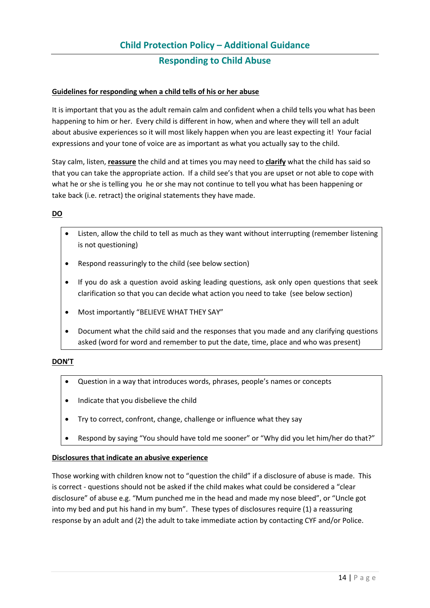#### **Guidelines for responding when a child tells of his or her abuse**

It is important that you as the adult remain calm and confident when a child tells you what has been happening to him or her. Every child is different in how, when and where they will tell an adult about abusive experiences so it will most likely happen when you are least expecting it! Your facial expressions and your tone of voice are as important as what you actually say to the child.

Stay calm, listen, **reassure** the child and at times you may need to **clarify** what the child has said so that you can take the appropriate action. If a child see's that you are upset or not able to cope with what he or she is telling you he or she may not continue to tell you what has been happening or take back (i.e. retract) the original statements they have made.

#### **DO**

- Listen, allow the child to tell as much as they want without interrupting (remember listening is not questioning)
- Respond reassuringly to the child (see below section)
- If you do ask a question avoid asking leading questions, ask only open questions that seek clarification so that you can decide what action you need to take (see below section)
- Most importantly "BELIEVE WHAT THEY SAY"
- Document what the child said and the responses that you made and any clarifying questions asked (word for word and remember to put the date, time, place and who was present)

#### **DON'T**

- Question in a way that introduces words, phrases, people's names or concepts
- Indicate that you disbelieve the child
- Try to correct, confront, change, challenge or influence what they say
- Respond by saying "You should have told me sooner" or "Why did you let him/her do that?"

#### **Disclosures that indicate an abusive experience**

Those working with children know not to "question the child" if a disclosure of abuse is made. This is correct - questions should not be asked if the child makes what could be considered a "clear disclosure" of abuse e.g. "Mum punched me in the head and made my nose bleed", or "Uncle got into my bed and put his hand in my bum". These types of disclosures require (1) a reassuring response by an adult and (2) the adult to take immediate action by contacting CYF and/or Police.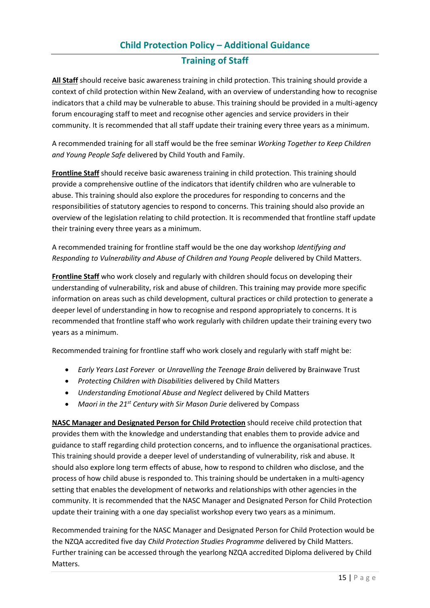## **Training of Staff**

**All Staff** should receive basic awareness training in child protection. This training should provide a context of child protection within New Zealand, with an overview of understanding how to recognise indicators that a child may be vulnerable to abuse. This training should be provided in a multi-agency forum encouraging staff to meet and recognise other agencies and service providers in their community. It is recommended that all staff update their training every three years as a minimum.

A recommended training for all staff would be the free seminar *Working Together to Keep Children and Young People Safe* delivered by Child Youth and Family.

**Frontline Staff** should receive basic awareness training in child protection. This training should provide a comprehensive outline of the indicators that identify children who are vulnerable to abuse. This training should also explore the procedures for responding to concerns and the responsibilities of statutory agencies to respond to concerns. This training should also provide an overview of the legislation relating to child protection. It is recommended that frontline staff update their training every three years as a minimum.

A recommended training for frontline staff would be the one day workshop *Identifying and Responding to Vulnerability and Abuse of Children and Young People* delivered by Child Matters.

**Frontline Staff** who work closely and regularly with children should focus on developing their understanding of vulnerability, risk and abuse of children. This training may provide more specific information on areas such as child development, cultural practices or child protection to generate a deeper level of understanding in how to recognise and respond appropriately to concerns. It is recommended that frontline staff who work regularly with children update their training every two years as a minimum.

Recommended training for frontline staff who work closely and regularly with staff might be:

- *Early Years Last Forever* or *Unravelling the Teenage Brain* delivered by Brainwave Trust
- *Protecting Children with Disabilities* delivered by Child Matters
- *Understanding Emotional Abuse and Neglect* delivered by Child Matters
- *Maori in the 21st Century with Sir Mason Durie* delivered by Compass

**NASC Manager and Designated Person for Child Protection** should receive child protection that provides them with the knowledge and understanding that enables them to provide advice and guidance to staff regarding child protection concerns, and to influence the organisational practices. This training should provide a deeper level of understanding of vulnerability, risk and abuse. It should also explore long term effects of abuse, how to respond to children who disclose, and the process of how child abuse is responded to. This training should be undertaken in a multi-agency setting that enables the development of networks and relationships with other agencies in the community. It is recommended that the NASC Manager and Designated Person for Child Protection update their training with a one day specialist workshop every two years as a minimum.

Recommended training for the NASC Manager and Designated Person for Child Protection would be the NZQA accredited five day *Child Protection Studies Programme* delivered by Child Matters. Further training can be accessed through the yearlong NZQA accredited Diploma delivered by Child Matters.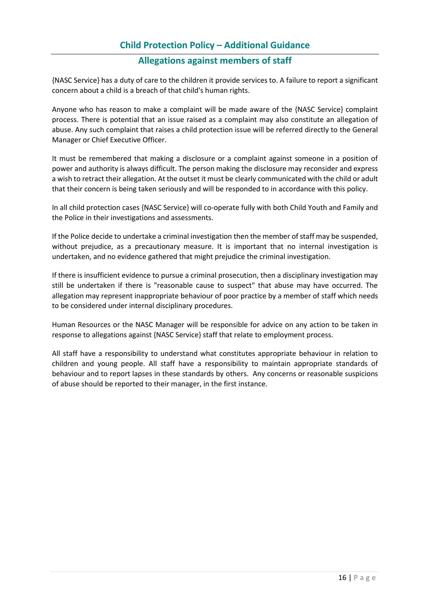## **Allegations against members of staff**

{NASC Service} has a duty of care to the children it provide services to. A failure to report a significant concern about a child is a breach of that child's human rights.

Anyone who has reason to make a complaint will be made aware of the {NASC Service} complaint process. There is potential that an issue raised as a complaint may also constitute an allegation of abuse. Any such complaint that raises a child protection issue will be referred directly to the General Manager or Chief Executive Officer.

It must be remembered that making a disclosure or a complaint against someone in a position of power and authority is always difficult. The person making the disclosure may reconsider and express a wish to retract their allegation. At the outset it must be clearly communicated with the child or adult that their concern is being taken seriously and will be responded to in accordance with this policy.

In all child protection cases {NASC Service} will co-operate fully with both Child Youth and Family and the Police in their investigations and assessments.

If the Police decide to undertake a criminal investigation then the member of staff may be suspended, without prejudice, as a precautionary measure. It is important that no internal investigation is undertaken, and no evidence gathered that might prejudice the criminal investigation.

If there is insufficient evidence to pursue a criminal prosecution, then a disciplinary investigation may still be undertaken if there is "reasonable cause to suspect" that abuse may have occurred. The allegation may represent inappropriate behaviour of poor practice by a member of staff which needs to be considered under internal disciplinary procedures.

Human Resources or the NASC Manager will be responsible for advice on any action to be taken in response to allegations against {NASC Service} staff that relate to employment process.

All staff have a responsibility to understand what constitutes appropriate behaviour in relation to children and young people. All staff have a responsibility to maintain appropriate standards of behaviour and to report lapses in these standards by others. Any concerns or reasonable suspicions of abuse should be reported to their manager, in the first instance.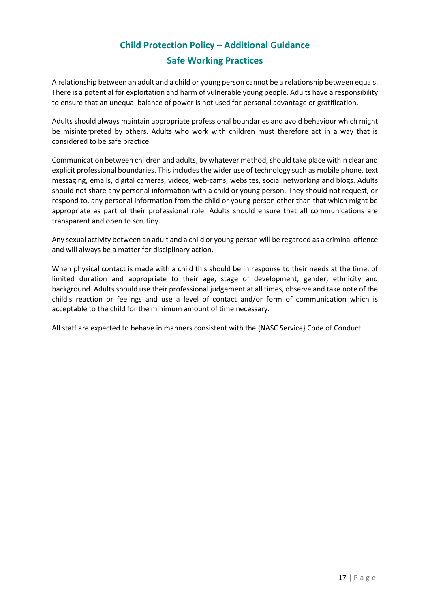## **Safe Working Practices**

A relationship between an adult and a child or young person cannot be a relationship between equals. There is a potential for exploitation and harm of vulnerable young people. Adults have a responsibility to ensure that an unequal balance of power is not used for personal advantage or gratification.

Adults should always maintain appropriate professional boundaries and avoid behaviour which might be misinterpreted by others. Adults who work with children must therefore act in a way that is considered to be safe practice.

Communication between children and adults, by whatever method, should take place within clear and explicit professional boundaries. This includes the wider use of technology such as mobile phone, text messaging, emails, digital cameras, videos, web-cams, websites, social networking and blogs. Adults should not share any personal information with a child or young person. They should not request, or respond to, any personal information from the child or young person other than that which might be appropriate as part of their professional role. Adults should ensure that all communications are transparent and open to scrutiny.

Any sexual activity between an adult and a child or young person will be regarded as a criminal offence and will always be a matter for disciplinary action.

When physical contact is made with a child this should be in response to their needs at the time, of limited duration and appropriate to their age, stage of development, gender, ethnicity and background. Adults should use their professional judgement at all times, observe and take note of the child's reaction or feelings and use a level of contact and/or form of communication which is acceptable to the child for the minimum amount of time necessary.

All staff are expected to behave in manners consistent with the {NASC Service} Code of Conduct.